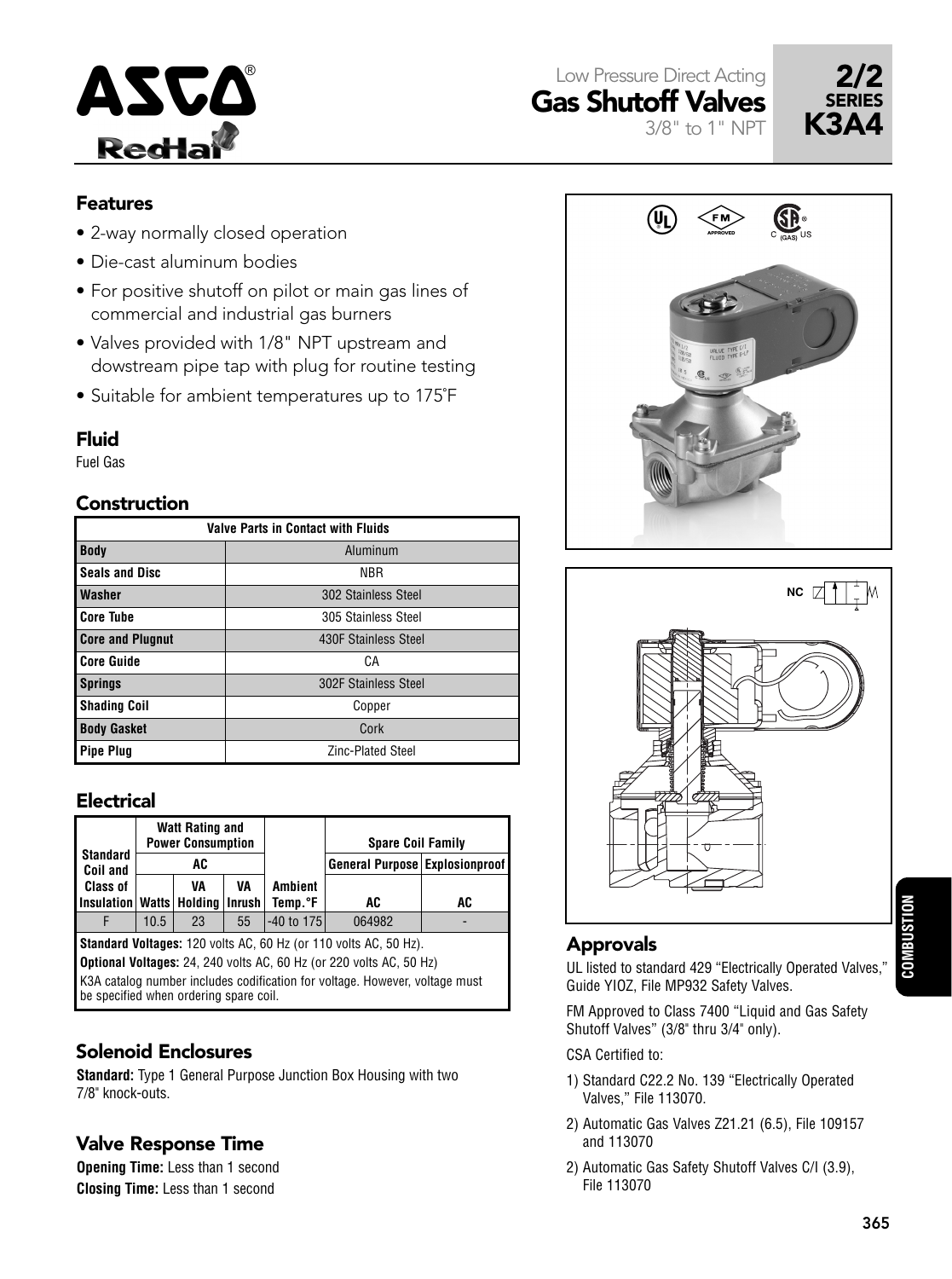





### Features

- 2-way normally closed operation
- Die-cast aluminum bodies
- For positive shutoff on pilot or main gas lines of commercial and industrial gas burners
- Valves provided with 1/8" NPT upstream and dowstream pipe tap with plug for routine testing
- Suitable for ambient temperatures up to 175˚F

#### Fluid

Fuel Gas

### Construction

| <b>Valve Parts in Contact with Fluids</b> |                          |  |  |  |  |  |  |  |  |
|-------------------------------------------|--------------------------|--|--|--|--|--|--|--|--|
| <b>Body</b>                               | Aluminum                 |  |  |  |  |  |  |  |  |
| <b>Seals and Disc</b>                     | <b>NBR</b>               |  |  |  |  |  |  |  |  |
| <b>Washer</b>                             | 302 Stainless Steel      |  |  |  |  |  |  |  |  |
| <b>Core Tube</b>                          | 305 Stainless Steel      |  |  |  |  |  |  |  |  |
| <b>Core and Plugnut</b>                   | 430F Stainless Steel     |  |  |  |  |  |  |  |  |
| <b>Core Guide</b>                         | CА                       |  |  |  |  |  |  |  |  |
| <b>Springs</b>                            | 302F Stainless Steel     |  |  |  |  |  |  |  |  |
| <b>Shading Coil</b>                       | Copper                   |  |  |  |  |  |  |  |  |
| <b>Body Gasket</b>                        | Cork                     |  |  |  |  |  |  |  |  |
| <b>Pipe Plug</b>                          | <b>Zinc-Plated Steel</b> |  |  |  |  |  |  |  |  |

#### Electrical

| <b>Standard</b> |                                       | <b>Watt Rating and</b><br><b>Power Consumption</b><br>AC |         |              | <b>Spare Coil Family</b><br>General Purpose Explosionproof |  |  |
|-----------------|---------------------------------------|----------------------------------------------------------|---------|--------------|------------------------------------------------------------|--|--|
| <b>Coil and</b> |                                       |                                                          |         |              |                                                            |  |  |
| <b>Class of</b> | VA<br>VA                              |                                                          | Ambient |              |                                                            |  |  |
|                 | Insulation   Watts   Holding   Inrush |                                                          | Temp.°F | AC           | AC                                                         |  |  |
|                 | 10.5                                  | 23                                                       | 55      | $-40$ to 175 | 064982                                                     |  |  |

**Standard Voltages:** 120 volts AC, 60 Hz (or 110 volts AC, 50 Hz). **Optional Voltages:** 24, 240 volts AC, 60 Hz (or 220 volts AC, 50 Hz) K3A catalog number includes codification for voltage. However, voltage must be specified when ordering spare coil.

# Solenoid Enclosures

**Standard:** Type 1 General Purpose Junction Box Housing with two 7/8" knock-outs.

## Valve Response Time

**Opening Time:** Less than 1 second **Closing Time:** Less than 1 second





# Approvals

UL listed to standard 429 "Electrically Operated Valves," Guide YIOZ, File MP932 Safety Valves.

FM Approved to Class 7400 "Liquid and Gas Safety Shutoff Valves" (3/8" thru 3/4" only).

CSA Certified to:

- 1) Standard C22.2 No. 139 "Electrically Operated Valves," File 113070.
- 2) Automatic Gas Valves Z21.21 (6.5), File 109157 and 113070
- 2) Automatic Gas Safety Shutoff Valves C/I (3.9), File 113070